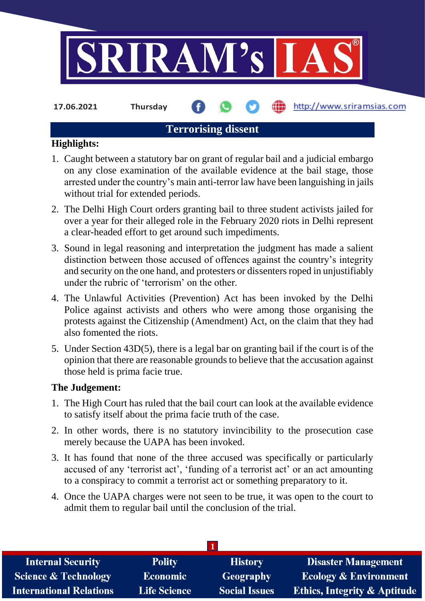

**17.06.2021 Thursday**

## http://www.sriramsias.com

## **Terrorising dissent**

## **Highlights:**

- 1. Caught between a statutory bar on grant of regular bail and a judicial embargo on any close examination of the available evidence at the bail stage, those arrested under the country's main anti-terror law have been languishing in jails without trial for extended periods.
- 2. The Delhi High Court orders granting bail to three student activists jailed for over a year for their alleged role in the February 2020 riots in Delhi represent a clear-headed effort to get around such impediments.
- 3. Sound in legal reasoning and interpretation the judgment has made a salient distinction between those accused of offences against the country's integrity and security on the one hand, and protesters or dissenters roped in unjustifiably under the rubric of 'terrorism' on the other.
- 4. The Unlawful Activities (Prevention) Act has been invoked by the Delhi Police against activists and others who were among those organising the protests against the Citizenship (Amendment) Act, on the claim that they had also fomented the riots.
- 5. Under Section 43D(5), there is a legal bar on granting bail if the court is of the opinion that there are reasonable grounds to believe that the accusation against those held is prima facie true.

## **The Judgement:**

- 1. The High Court has ruled that the bail court can look at the available evidence to satisfy itself about the prima facie truth of the case.
- 2. In other words, there is no statutory invincibility to the prosecution case merely because the UAPA has been invoked.
- 3. It has found that none of the three accused was specifically or particularly accused of any 'terrorist act', 'funding of a terrorist act' or an act amounting to a conspiracy to commit a terrorist act or something preparatory to it.
- 4. Once the UAPA charges were not seen to be true, it was open to the court to admit them to regular bail until the conclusion of the trial.

| <b>Internal Security</b>        | <b>Polity</b>       | <b>History</b>       | <b>Disaster Management</b>              |
|---------------------------------|---------------------|----------------------|-----------------------------------------|
| <b>Science &amp; Technology</b> | <b>Economic</b>     | <b>Geography</b>     | <b>Ecology &amp; Environment</b>        |
| <b>International Relations</b>  | <b>Life Science</b> | <b>Social Issues</b> | <b>Ethics, Integrity &amp; Aptitude</b> |